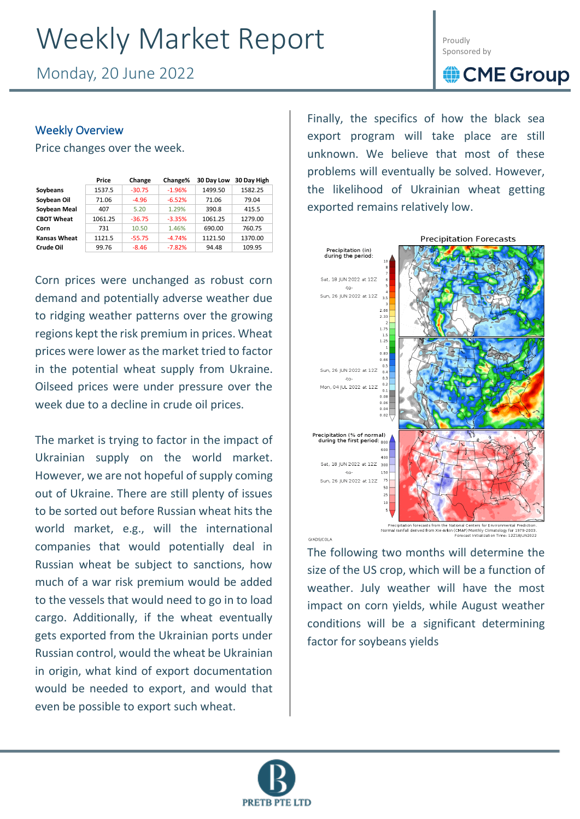# Weekly Market Report

Monday, 20 June 2022

Proudly Sponsored by

### CME Group

### Weekly Overview

Price changes over the week.

|                     | Price   | Change   | Change%  | 30 Day Low | 30 Day High |
|---------------------|---------|----------|----------|------------|-------------|
| Soybeans            | 1537.5  | $-30.75$ | $-1.96%$ | 1499.50    | 1582.25     |
| Soybean Oil         | 71.06   | $-4.96$  | $-6.52%$ | 71.06      | 79.04       |
| Soybean Meal        | 407     | 5.20     | 1.29%    | 390.8      | 415.5       |
| <b>CBOT Wheat</b>   | 1061.25 | $-36.75$ | $-3.35%$ | 1061.25    | 1279.00     |
| Corn                | 731     | 10.50    | 1.46%    | 690.00     | 760.75      |
| <b>Kansas Wheat</b> | 1121.5  | $-55.75$ | $-4.74%$ | 1121.50    | 1370.00     |
| Crude Oil           | 99.76   | $-8.46$  | $-7.82%$ | 94.48      | 109.95      |

Corn prices were unchanged as robust corn demand and potentially adverse weather due to ridging weather patterns over the growing regions kept the risk premium in prices. Wheat prices were lower as the market tried to factor in the potential wheat supply from Ukraine. Oilseed prices were under pressure over the week due to a decline in crude oil prices.

The market is trying to factor in the impact of Ukrainian supply on the world market. However, we are not hopeful of supply coming out of Ukraine. There are still plenty of issues to be sorted out before Russian wheat hits the world market, e.g., will the international companies that would potentially deal in Russian wheat be subject to sanctions, how much of a war risk premium would be added to the vessels that would need to go in to load cargo. Additionally, if the wheat eventually gets exported from the Ukrainian ports under Russian control, would the wheat be Ukrainian in origin, what kind of export documentation would be needed to export, and would that even be possible to export such wheat.

Finally, the specifics of how the black sea export program will take place are still unknown. We believe that most of these problems will eventually be solved. However, the likelihood of Ukrainian wheat getting exported remains relatively low.



Precipitation forecasts from the National Centers for Environmental Prediction<br>Normal rainfall derived from Xie-Arkin (CMAP) Monthly Climatology for 1979-2003

The following two months will determine the size of the US crop, which will be a function of weather. July weather will have the most impact on corn yields, while August weather conditions will be a significant determining factor for soybeans yields



GrADS/COLA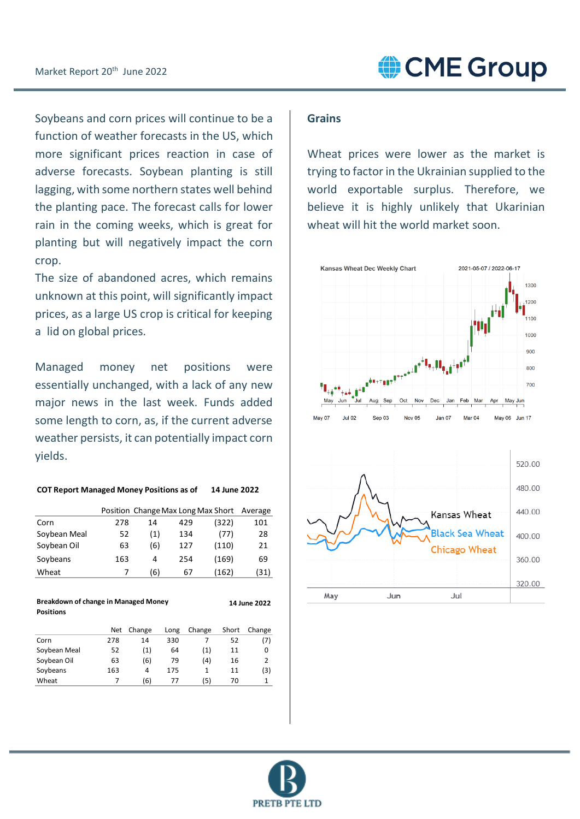Soybeans and corn prices will continue to be a function of weather forecasts in the US, which more significant prices reaction in case of adverse forecasts. Soybean planting is still lagging, with some northern states well behind the planting pace. The forecast calls for lower rain in the coming weeks, which is great for planting but will negatively impact the corn crop.

The size of abandoned acres, which remains unknown at this point, will significantly impact prices, as a large US crop is critical for keeping a lid on global prices.

Managed money net positions were essentially unchanged, with a lack of any new major news in the last week. Funds added some length to corn, as, if the current adverse weather persists, it can potentially impact corn yields.

| <b>COT Report Managed Money Positions as of</b> | 14 June 2022 |
|-------------------------------------------------|--------------|
|                                                 |              |

|              |     |     |     | Position Change Max Long Max Short Average |      |
|--------------|-----|-----|-----|--------------------------------------------|------|
| Corn         | 278 | 14  | 429 | (322)                                      | 101  |
| Soybean Meal | 52  | (1) | 134 | (77)                                       | 28   |
| Soybean Oil  | 63  | (6) | 127 | (110)                                      | 21   |
| Soybeans     | 163 | 4   | 254 | (169)                                      | 69   |
| Wheat        | 7   | (6) | 67  | (162)                                      | (31) |

| <b>Breakdown of change in Managed Money</b><br>14 June 2022<br><b>Positions</b> |     |        |      |        |       |        |
|---------------------------------------------------------------------------------|-----|--------|------|--------|-------|--------|
|                                                                                 | Net | Change | Long | Change | Short | Change |
| Corn                                                                            | 278 | 14     | 330  |        | 52    | (7)    |
| Soybean Meal                                                                    | 52  | (1)    | 64   | (1)    | 11    | 0      |
| Soybean Oil                                                                     | 63  | (6)    | 79   | (4)    | 16    | 2      |
| Soybeans                                                                        | 163 | 4      | 175  | 1      | 11    | [3]    |

Wheat 7 (6) 77 (5) 70 1

### **Grains**

Wheat prices were lower as the market is trying to factor in the Ukrainian supplied to the world exportable surplus. Therefore, we believe it is highly unlikely that Ukarinian wheat will hit the world market soon.





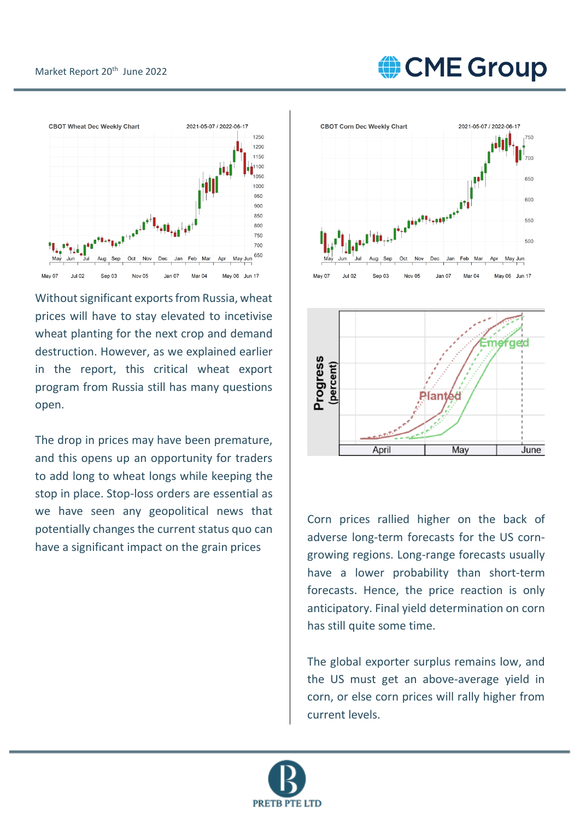## CME Group



Without significant exports from Russia, wheat prices will have to stay elevated to incetivise wheat planting for the next crop and demand destruction. However, as we explained earlier in the report, this critical wheat export program from Russia still has many questions open.

The drop in prices may have been premature, and this opens up an opportunity for traders to add long to wheat longs while keeping the stop in place. Stop-loss orders are essential as we have seen any geopolitical news that potentially changes the current status quo can have a significant impact on the grain prices





Corn prices rallied higher on the back of adverse long-term forecasts for the US corngrowing regions. Long-range forecasts usually have a lower probability than short-term forecasts. Hence, the price reaction is only anticipatory. Final yield determination on corn has still quite some time.

The global exporter surplus remains low, and the US must get an above-average yield in corn, or else corn prices will rally higher from current levels.

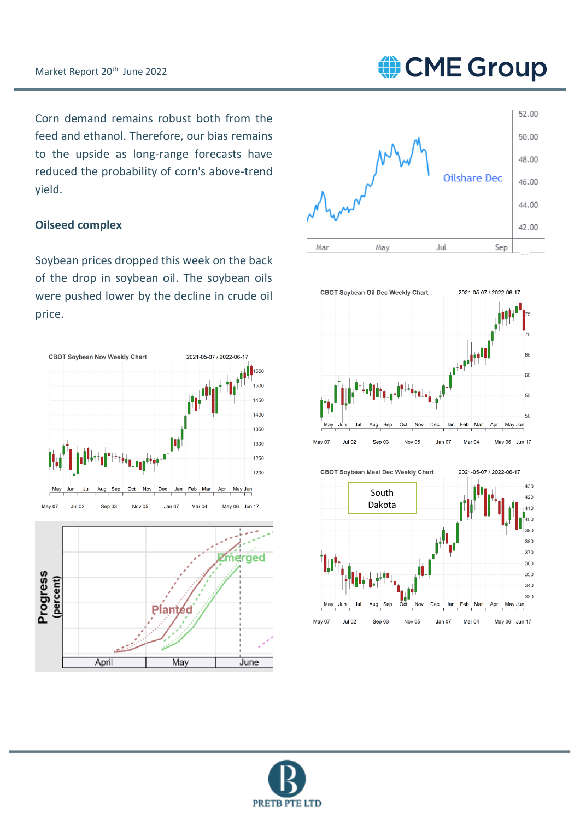CME Group

Corn demand remains robust both from the feed and ethanol. Therefore, our bias remains to the upside as long-range forecasts have reduced the probability of corn's above-trend yield.

### **Oilseed complex**

Soybean prices dropped this week on the back of the drop in soybean oil. The soybean oils were pushed lower by the decline in crude oil price.





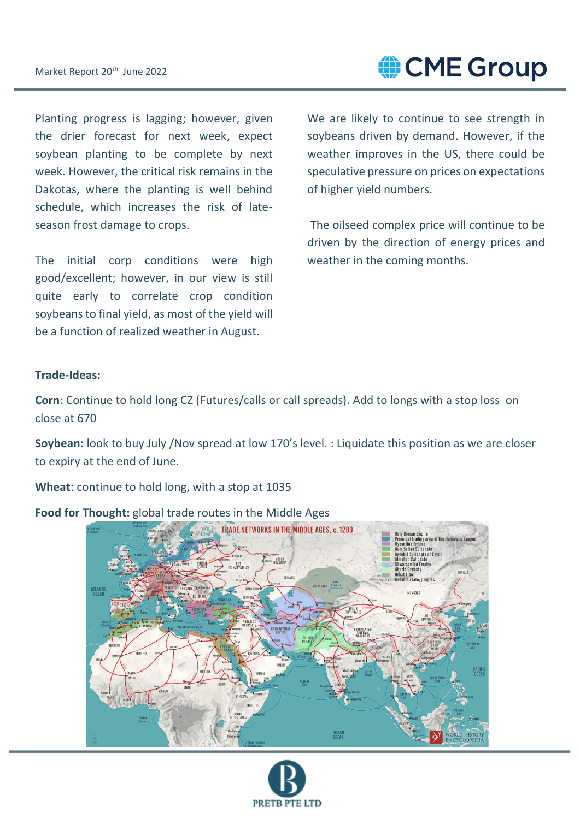CME Group

Planting progress is lagging; however, given the drier forecast for next week, expect soybean planting to be complete by next week. However, the critical risk remains in the Dakotas, where the planting is well behind schedule, which increases the risk of lateseason frost damage to crops.

The initial corp conditions were high good/excellent; however, in our view is still quite early to correlate crop condition soybeans to final yield, as most of the yield will be a function of realized weather in August.

We are likely to continue to see strength in soybeans driven by demand. However, if the weather improves in the US, there could be speculative pressure on prices on expectations of higher yield numbers.

The oilseed complex price will continue to be driven by the direction of energy prices and weather in the coming months.

#### **Trade-Ideas:**

**Corn**: Continue to hold long CZ (Futures/calls or call spreads). Add to longs with a stop loss on close at 670

**Soybean:** look to buy July /Nov spread at low 170's level. : Liquidate this position as we are closer to expiry at the end of June.

**Wheat**: continue to hold long, with a stop at 1035



**Food for Thought:** global trade routes in the Middle Ages